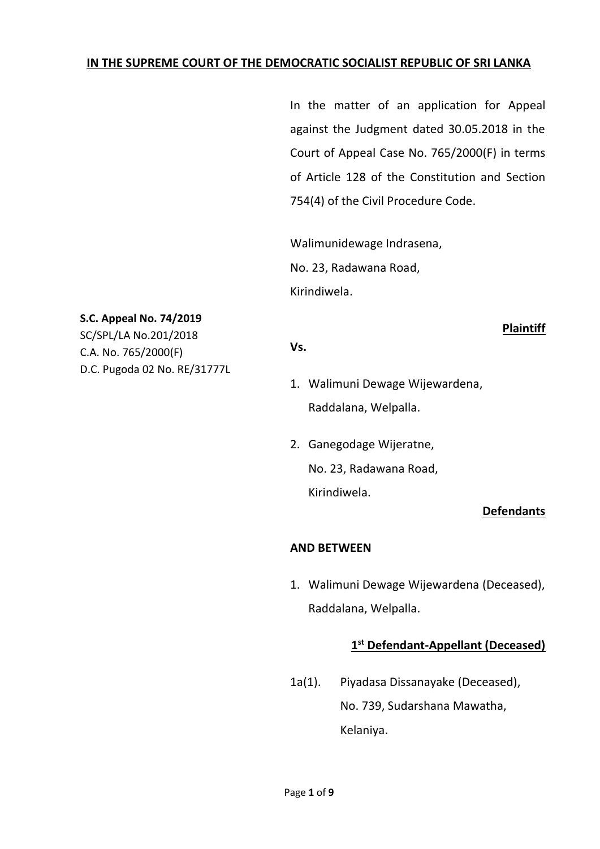### **IN THE SUPREME COURT OF THE DEMOCRATIC SOCIALIST REPUBLIC OF SRI LANKA**

In the matter of an application for Appeal against the Judgment dated 30.05.2018 in the Court of Appeal Case No. 765/2000(F) in terms of Article 128 of the Constitution and Section 754(4) of the Civil Procedure Code.

Walimunidewage Indrasena, No. 23, Radawana Road, Kirindiwela.

### **S.C. Appeal No. 74/2019**

SC/SPL/LA No.201/2018 C.A. No. 765/2000(F) D.C. Pugoda 02 No. RE/31777L **Plaintiff**

#### **Vs.**

- 1. Walimuni Dewage Wijewardena, Raddalana, Welpalla.
- 2. Ganegodage Wijeratne, No. 23, Radawana Road, Kirindiwela.

### **Defendants**

### **AND BETWEEN**

1. Walimuni Dewage Wijewardena (Deceased), Raddalana, Welpalla.

## **1 st Defendant-Appellant (Deceased)**

1a(1). Piyadasa Dissanayake (Deceased), No. 739, Sudarshana Mawatha, Kelaniya.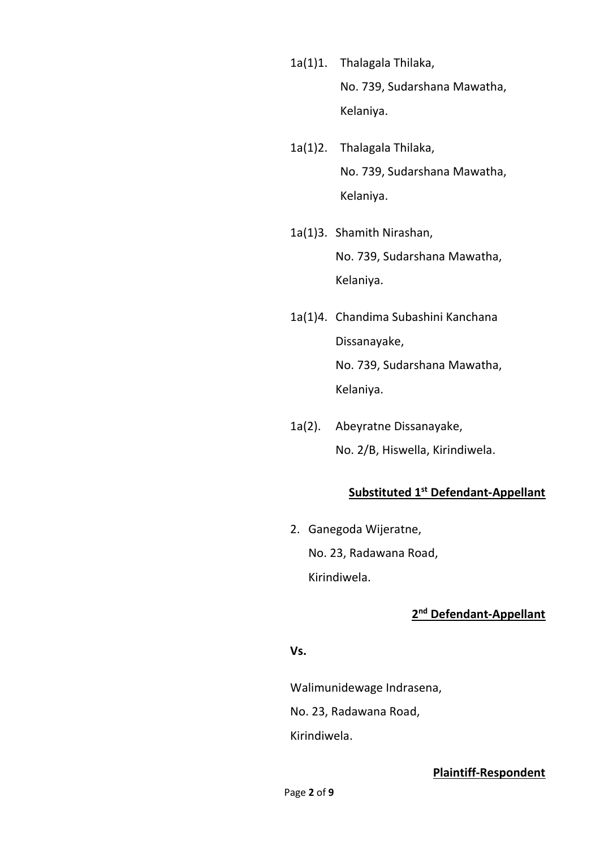- 1a(1)1. Thalagala Thilaka, No. 739, Sudarshana Mawatha, Kelaniya.
- 1a(1)2. Thalagala Thilaka, No. 739, Sudarshana Mawatha, Kelaniya.
- 1a(1)3. Shamith Nirashan, No. 739, Sudarshana Mawatha, Kelaniya.
- 1a(1)4. Chandima Subashini Kanchana Dissanayake, No. 739, Sudarshana Mawatha, Kelaniya.
- 1a(2). Abeyratne Dissanayake, No. 2/B, Hiswella, Kirindiwela.

# **Substituted 1st Defendant-Appellant**

2. Ganegoda Wijeratne, No. 23, Radawana Road, Kirindiwela.

# **2 nd Defendant-Appellant**

### **Vs.**

Walimunidewage Indrasena,

No. 23, Radawana Road,

Kirindiwela.

### **Plaintiff-Respondent**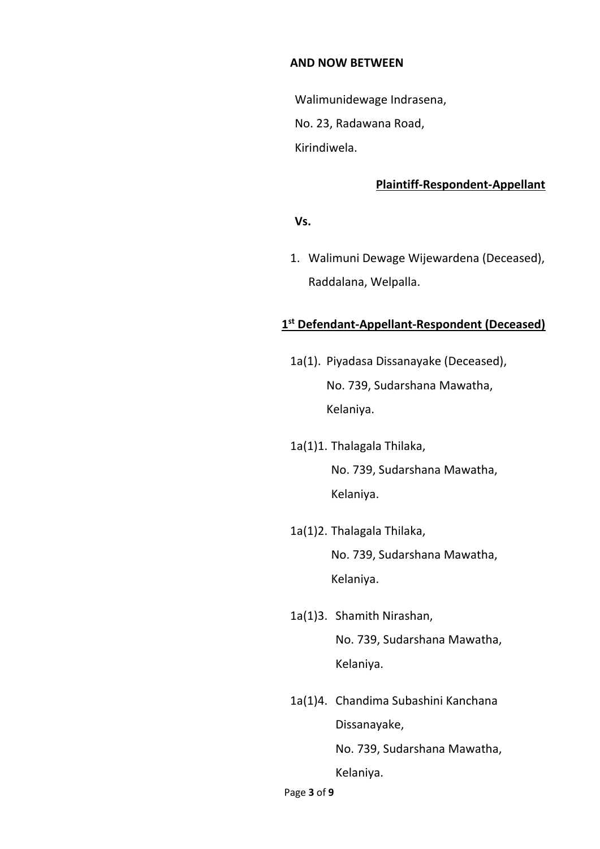#### **AND NOW BETWEEN**

Walimunidewage Indrasena, No. 23, Radawana Road, Kirindiwela.

#### **Plaintiff-Respondent-Appellant**

#### **Vs.**

1. Walimuni Dewage Wijewardena (Deceased), Raddalana, Welpalla.

### **1 st Defendant-Appellant-Respondent (Deceased)**

- 1a(1). Piyadasa Dissanayake (Deceased), No. 739, Sudarshana Mawatha, Kelaniya.
- 1a(1)1. Thalagala Thilaka, No. 739, Sudarshana Mawatha, Kelaniya.
- 1a(1)2. Thalagala Thilaka, No. 739, Sudarshana Mawatha, Kelaniya.
- 1a(1)3. Shamith Nirashan, No. 739, Sudarshana Mawatha, Kelaniya.
- 1a(1)4. Chandima Subashini Kanchana Dissanayake, No. 739, Sudarshana Mawatha, Kelaniya.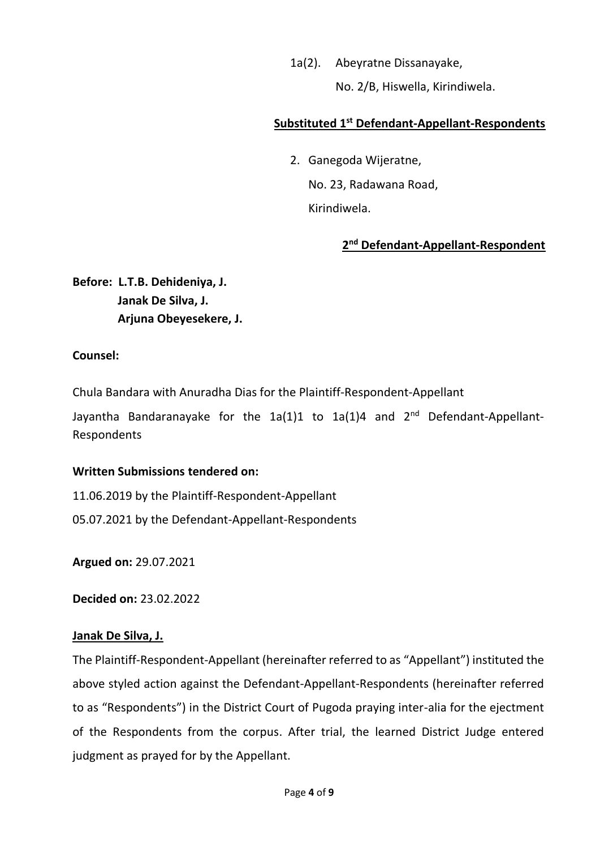### 1a(2). Abeyratne Dissanayake,

No. 2/B, Hiswella, Kirindiwela.

## **Substituted 1st Defendant-Appellant-Respondents**

2. Ganegoda Wijeratne, No. 23, Radawana Road, Kirindiwela.

# **2 nd Defendant-Appellant-Respondent**

**Before: L.T.B. Dehideniya, J. Janak De Silva, J. Arjuna Obeyesekere, J.**

### **Counsel:**

Chula Bandara with Anuradha Dias for the Plaintiff-Respondent-Appellant

Jayantha Bandaranayake for the 1a(1)1 to 1a(1)4 and 2<sup>nd</sup> Defendant-Appellant-Respondents

### **Written Submissions tendered on:**

11.06.2019 by the Plaintiff-Respondent-Appellant

05.07.2021 by the Defendant-Appellant-Respondents

**Argued on:** 29.07.2021

**Decided on:** 23.02.2022

## **Janak De Silva, J.**

The Plaintiff-Respondent-Appellant (hereinafter referred to as "Appellant") instituted the above styled action against the Defendant-Appellant-Respondents (hereinafter referred to as "Respondents") in the District Court of Pugoda praying inter-alia for the ejectment of the Respondents from the corpus. After trial, the learned District Judge entered judgment as prayed for by the Appellant.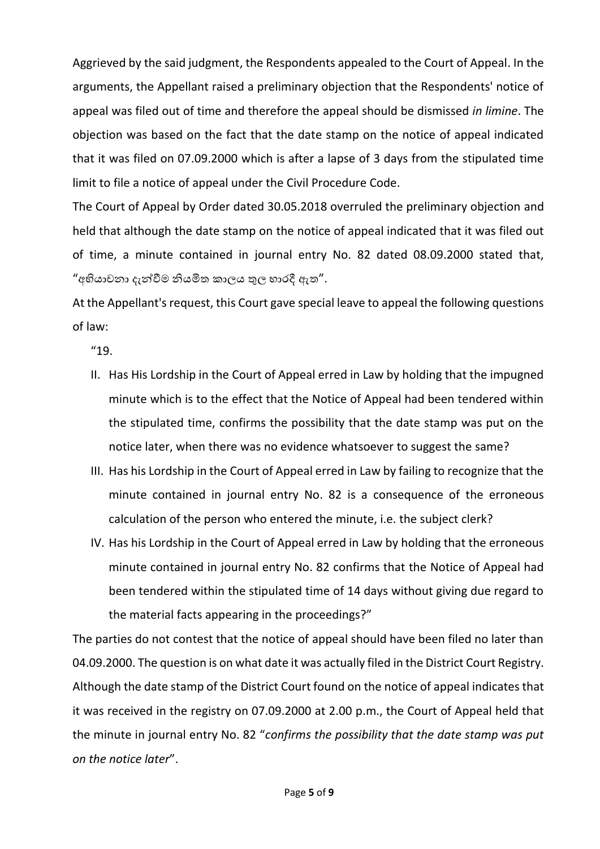Aggrieved by the said judgment, the Respondents appealed to the Court of Appeal. In the arguments, the Appellant raised a preliminary objection that the Respondents' notice of appeal was filed out of time and therefore the appeal should be dismissed *in limine*. The objection was based on the fact that the date stamp on the notice of appeal indicated that it was filed on 07.09.2000 which is after a lapse of 3 days from the stipulated time limit to file a notice of appeal under the Civil Procedure Code.

The Court of Appeal by Order dated 30.05.2018 overruled the preliminary objection and held that although the date stamp on the notice of appeal indicated that it was filed out of time, a minute contained in journal entry No. 82 dated 08.09.2000 stated that, "අභියාචනා දැන්වීම නියමිත කාලය තුල භාරදී ඇත".

At the Appellant's request, this Court gave special leave to appeal the following questions of law:

"19.

- II. Has His Lordship in the Court of Appeal erred in Law by holding that the impugned minute which is to the effect that the Notice of Appeal had been tendered within the stipulated time, confirms the possibility that the date stamp was put on the notice later, when there was no evidence whatsoever to suggest the same?
- III. Has his Lordship in the Court of Appeal erred in Law by failing to recognize that the minute contained in journal entry No. 82 is a consequence of the erroneous calculation of the person who entered the minute, i.e. the subject clerk?
- IV. Has his Lordship in the Court of Appeal erred in Law by holding that the erroneous minute contained in journal entry No. 82 confirms that the Notice of Appeal had been tendered within the stipulated time of 14 days without giving due regard to the material facts appearing in the proceedings?"

The parties do not contest that the notice of appeal should have been filed no later than 04.09.2000. The question is on what date it was actually filed in the District Court Registry. Although the date stamp of the District Court found on the notice of appeal indicates that it was received in the registry on 07.09.2000 at 2.00 p.m., the Court of Appeal held that the minute in journal entry No. 82 "*confirms the possibility that the date stamp was put on the notice later*".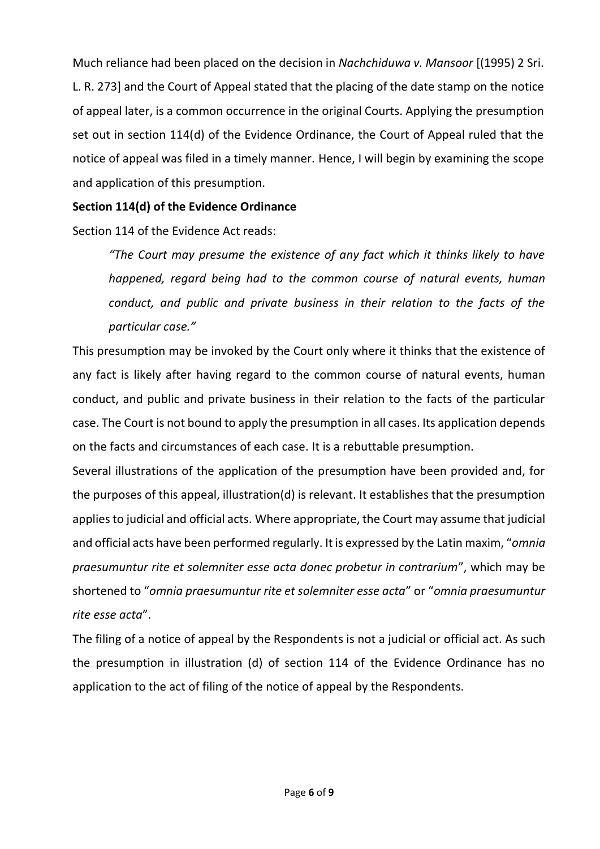Much reliance had been placed on the decision in *Nachchiduwa v. Mansoor* [(1995) 2 Sri. L. R. 273] and the Court of Appeal stated that the placing of the date stamp on the notice of appeal later, is a common occurrence in the original Courts. Applying the presumption set out in section 114(d) of the Evidence Ordinance, the Court of Appeal ruled that the notice of appeal was filed in a timely manner. Hence, I will begin by examining the scope and application of this presumption.

## **Section 114(d) of the Evidence Ordinance**

Section 114 of the Evidence Act reads:

*"The Court may presume the existence of any fact which it thinks likely to have happened, regard being had to the common course of natural events, human conduct, and public and private business in their relation to the facts of the particular case."*

This presumption may be invoked by the Court only where it thinks that the existence of any fact is likely after having regard to the common course of natural events, human conduct, and public and private business in their relation to the facts of the particular case. The Court is not bound to apply the presumption in all cases. Its application depends on the facts and circumstances of each case. It is a rebuttable presumption.

Several illustrations of the application of the presumption have been provided and, for the purposes of this appeal, illustration(d) is relevant. It establishes that the presumption applies to judicial and official acts. Where appropriate, the Court may assume that judicial and official acts have been performed regularly. It is expressed by the Latin maxim, "*omnia praesumuntur rite et solemniter esse acta donec probetur in contrarium*", which may be shortened to "*omnia praesumuntur rite et solemniter esse acta*" or "*omnia praesumuntur rite esse acta*".

The filing of a notice of appeal by the Respondents is not a judicial or official act. As such the presumption in illustration (d) of section 114 of the Evidence Ordinance has no application to the act of filing of the notice of appeal by the Respondents.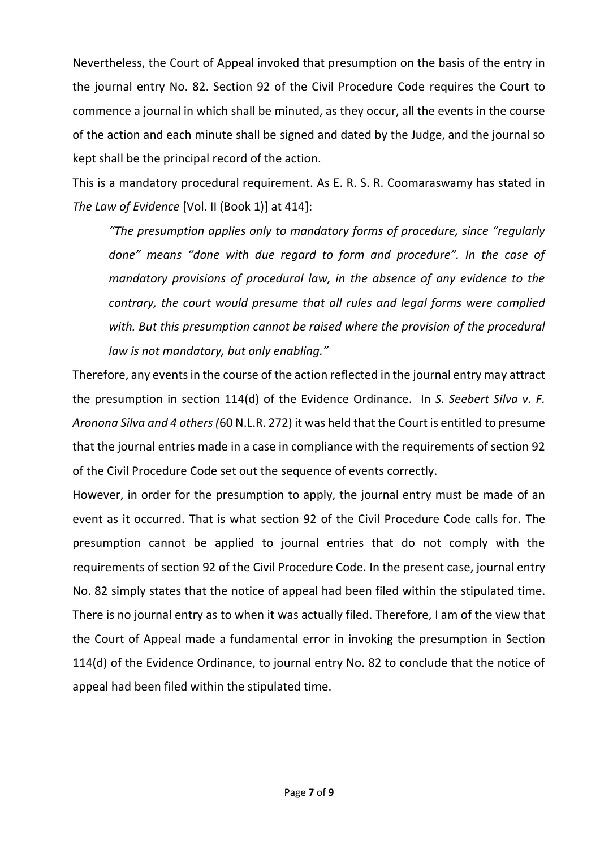Nevertheless, the Court of Appeal invoked that presumption on the basis of the entry in the journal entry No. 82. Section 92 of the Civil Procedure Code requires the Court to commence a journal in which shall be minuted, as they occur, all the events in the course of the action and each minute shall be signed and dated by the Judge, and the journal so kept shall be the principal record of the action.

This is a mandatory procedural requirement. As E. R. S. R. Coomaraswamy has stated in *The Law of Evidence* [Vol. II (Book 1)] at 414]:

*"The presumption applies only to mandatory forms of procedure, since "regularly done" means "done with due regard to form and procedure". In the case of mandatory provisions of procedural law, in the absence of any evidence to the contrary, the court would presume that all rules and legal forms were complied*  with. But this presumption cannot be raised where the provision of the procedural *law is not mandatory, but only enabling."*

Therefore, any events in the course of the action reflected in the journal entry may attract the presumption in section 114(d) of the Evidence Ordinance. In *S. Seebert Silva v. F. Aronona Silva and 4 others (*60 N.L.R. 272) it was held that the Court is entitled to presume that the journal entries made in a case in compliance with the requirements of section 92 of the Civil Procedure Code set out the sequence of events correctly.

However, in order for the presumption to apply, the journal entry must be made of an event as it occurred. That is what section 92 of the Civil Procedure Code calls for. The presumption cannot be applied to journal entries that do not comply with the requirements of section 92 of the Civil Procedure Code. In the present case, journal entry No. 82 simply states that the notice of appeal had been filed within the stipulated time. There is no journal entry as to when it was actually filed. Therefore, I am of the view that the Court of Appeal made a fundamental error in invoking the presumption in Section 114(d) of the Evidence Ordinance, to journal entry No. 82 to conclude that the notice of appeal had been filed within the stipulated time.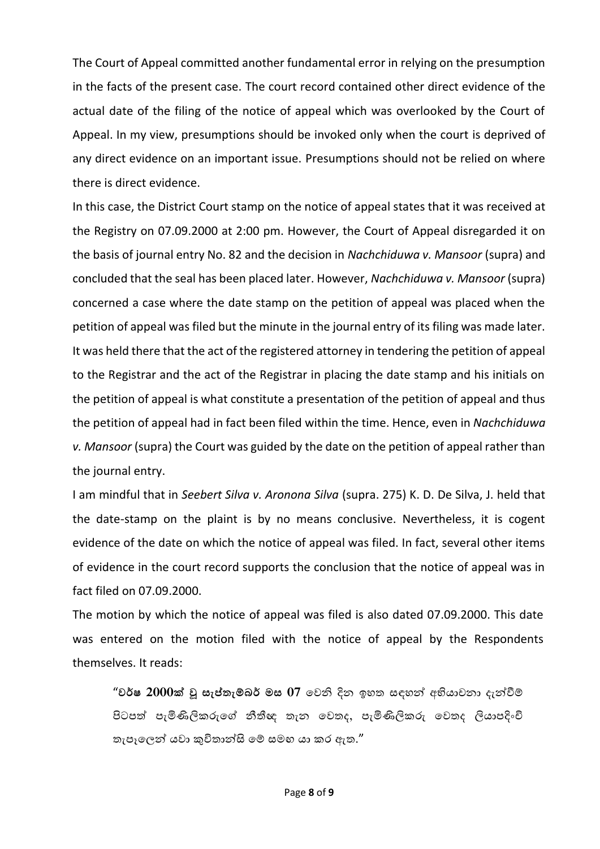The Court of Appeal committed another fundamental error in relying on the presumption in the facts of the present case. The court record contained other direct evidence of the actual date of the filing of the notice of appeal which was overlooked by the Court of Appeal. In my view, presumptions should be invoked only when the court is deprived of any direct evidence on an important issue. Presumptions should not be relied on where there is direct evidence.

In this case, the District Court stamp on the notice of appeal states that it was received at the Registry on 07.09.2000 at 2:00 pm. However, the Court of Appeal disregarded it on the basis of journal entry No. 82 and the decision in *Nachchiduwa v. Mansoor* (supra) and concluded that the seal has been placed later. However, *Nachchiduwa v. Mansoor* (supra) concerned a case where the date stamp on the petition of appeal was placed when the petition of appeal was filed but the minute in the journal entry of its filing was made later. It was held there that the act of the registered attorney in tendering the petition of appeal to the Registrar and the act of the Registrar in placing the date stamp and his initials on the petition of appeal is what constitute a presentation of the petition of appeal and thus the petition of appeal had in fact been filed within the time. Hence, even in *Nachchiduwa v. Mansoor* (supra) the Court was guided by the date on the petition of appeal rather than the journal entry.

I am mindful that in *Seebert Silva v. Aronona Silva* (supra. 275) K. D. De Silva, J. held that the date-stamp on the plaint is by no means conclusive. Nevertheless, it is cogent evidence of the date on which the notice of appeal was filed. In fact, several other items of evidence in the court record supports the conclusion that the notice of appeal was in fact filed on 07.09.2000.

The motion by which the notice of appeal was filed is also dated 07.09.2000. This date was entered on the motion filed with the notice of appeal by the Respondents themselves. It reads:

"**වර්ෂ 2000ක් වූ සැප්තැම්බර් මස 07** වෙනි දින ඉහත සඳහන්ව අභියාචනා දැන්වීම් පිටපත් පැමිණිලිකරුවේ නීතීඥ තැන වෙතද, පැමිණිලිකරු වෙතද ලියාපදිිංචි තැපෑලෙන් යවා කුවිතාන්සි මේ සමහ යා කර ඇත."